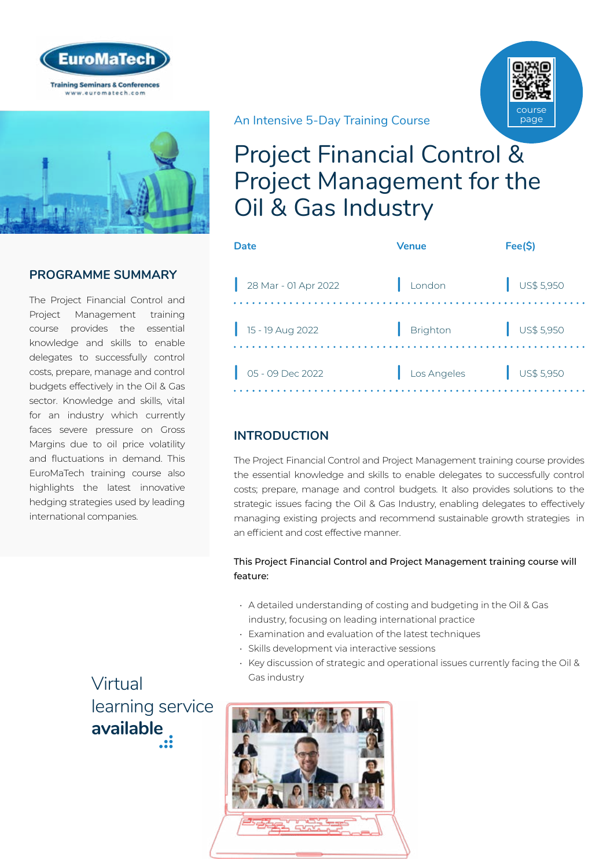



# **PROGRAMME SUMMARY**

The Project Financial Control and Project Management training course provides the essential knowledge and skills to enable delegates to successfully control costs, prepare, manage and control budgets effectively in the Oil & Gas sector. Knowledge and skills, vital for an industry which currently faces severe pressure on Gross Margins due to oil price volatility and fluctuations in demand. This EuroMaTech training course also highlights the latest innovative hedging strategies used by leading international companies.

> Virtual [learning service](https://www.euromatech.com/seminars/project-financial-control-project-management-for-the-oil-gas-industry/)  **available**

An Intensive 5-Day Training Course

# Project Financial Control & Project Management for the Oil & Gas Industry

course page

| Date                       | <b>Venue</b> | Fee(\$)                  |
|----------------------------|--------------|--------------------------|
| 28 Mar - 01 Apr 2022       | London       | $\frac{1}{2}$ US\$ 5,950 |
| 15 - 19 Aug 2022           | Brighton     | $\bigcup$ US\$ 5,950     |
| $\bigcup$ 05 - 09 Dec 2022 | Los Angeles  | $\bigcup$ US\$ 5,950     |
|                            |              |                          |

# **INTRODUCTION**

The Project Financial Control and Project Management training course provides the essential knowledge and skills to enable delegates to successfully control costs; prepare, manage and control budgets. It also provides solutions to the strategic issues facing the Oil & Gas Industry, enabling delegates to effectively managing existing projects and recommend sustainable growth strategies in an efficient and cost effective manner.

### This Project Financial Control and Project Management training course will feature:

- A detailed understanding of costing and budgeting in the Oil & Gas industry, focusing on leading international practice
- Examination and evaluation of the latest techniques
- Skills development via interactive sessions
- Key discussion of strategic and operational issues currently facing the Oil & Gas industry

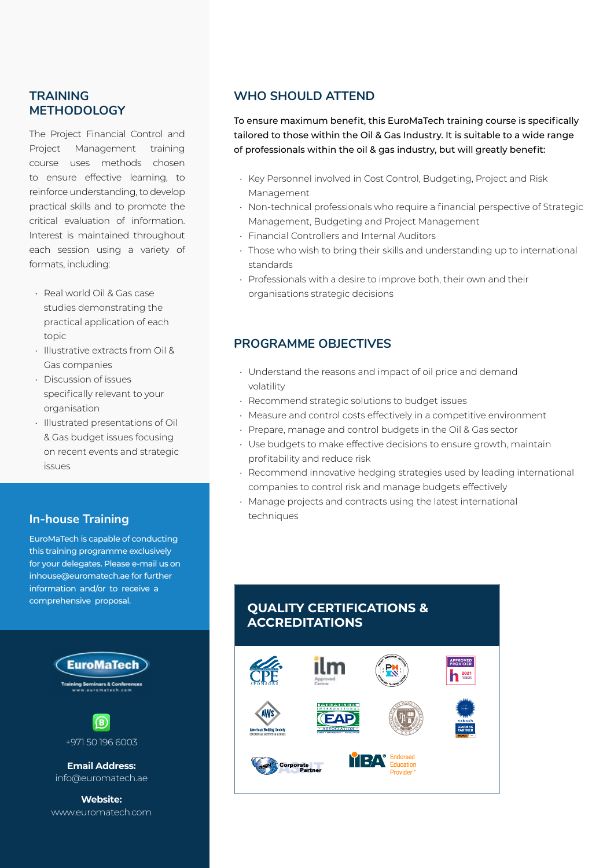## **TRAINING METHODOLOGY**

The Project Financial Control and Project Management training course uses methods chosen to ensure effective learning, to reinforce understanding, to develop practical skills and to promote the critical evaluation of information. Interest is maintained throughout each session using a variety of formats, including:

- Real world Oil & Gas case studies demonstrating the practical application of each topic
- Illustrative extracts from Oil & Gas companies
- Discussion of issues specifically relevant to your organisation
- Illustrated presentations of Oil & Gas budget issues focusing on recent events and strategic issues

# **In-house Training**

EuroMaTech is capable of conducting this training programme exclusively for your delegates. Please e-mail us on inhouse@euromatech.ae for further information and/or to receive a comprehensive proposal.



# **WHO SHOULD ATTEND**

To ensure maximum benefit, this EuroMaTech training course is specifically tailored to those within the Oil & Gas Industry. It is suitable to a wide range of professionals within the oil & gas industry, but will greatly benefit:

- Key Personnel involved in Cost Control, Budgeting, Project and Risk Management
- Non-technical professionals who require a financial perspective of Strategic Management, Budgeting and Project Management
- Financial Controllers and Internal Auditors
- Those who wish to bring their skills and understanding up to international standards
- Professionals with a desire to improve both, their own and their organisations strategic decisions

## **PROGRAMME OBJECTIVES**

- Understand the reasons and impact of oil price and demand volatility
- Recommend strategic solutions to budget issues
- Measure and control costs effectively in a competitive environment
- Prepare, manage and control budgets in the Oil & Gas sector
- Use budgets to make effective decisions to ensure growth, maintain profitability and reduce risk
- Recommend innovative hedging strategies used by leading international companies to control risk and manage budgets effectively
- Manage projects and contracts using the latest international techniques

# **QUALITY CERTIFICATIONS & ACCREDITATIONS**

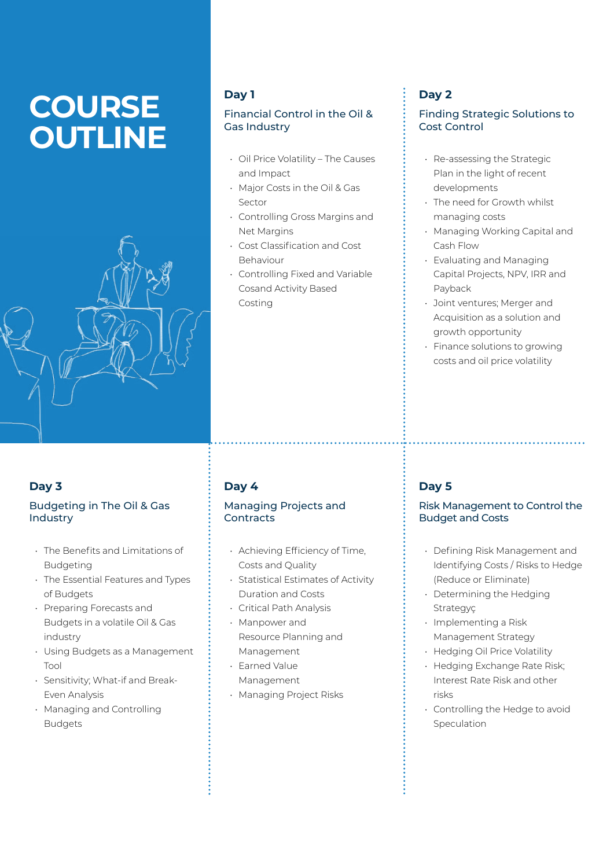# **COURSE OUTLINE**



# **Day 1**

### Financial Control in the Oil & Gas Industry

- Oil Price Volatility The Causes and Impact
- Major Costs in the Oil & Gas Sector
- Controlling Gross Margins and Net Margins
- Cost Classification and Cost Behaviour
- Controlling Fixed and Variable Cosand Activity Based Costing

# **Day 3**

### Budgeting in The Oil & Gas Industry

- The Benefits and Limitations of **Budgeting**
- The Essential Features and Types of Budgets
- Preparing Forecasts and Budgets in a volatile Oil & Gas industry
- Using Budgets as a Management Tool
- Sensitivity; What-if and Break-Even Analysis
- Managing and Controlling Budgets

# **Day 4**

### Managing Projects and **Contracts**

- Achieving Efficiency of Time, Costs and Quality
- Statistical Estimates of Activity Duration and Costs
- Critical Path Analysis
- Manpower and Resource Planning and Management
- Earned Value Management
- Managing Project Risks

# **Day 2**

### Finding Strategic Solutions to Cost Control

- Re-assessing the Strategic Plan in the light of recent developments
- The need for Growth whilst managing costs
- Managing Working Capital and Cash Flow
- Evaluating and Managing Capital Projects, NPV, IRR and Payback
- Joint ventures; Merger and Acquisition as a solution and growth opportunity
- Finance solutions to growing costs and oil price volatility

# **Day 5**

### Risk Management to Control the Budget and Costs

- Defining Risk Management and Identifying Costs / Risks to Hedge (Reduce or Eliminate)
- Determining the Hedging Strategyç
- Implementing a Risk Management Strategy
- Hedging Oil Price Volatility
- Hedging Exchange Rate Risk; Interest Rate Risk and other risks
- Controlling the Hedge to avoid Speculation